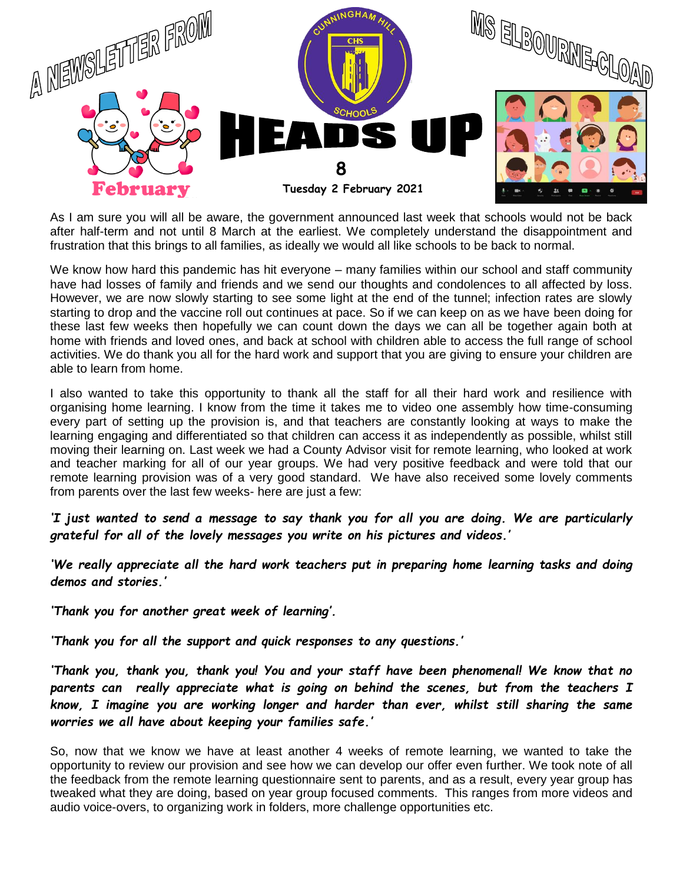

As I am sure you will all be aware, the government announced last week that schools would not be back after half-term and not until 8 March at the earliest. We completely understand the disappointment and frustration that this brings to all families, as ideally we would all like schools to be back to normal.

We know how hard this pandemic has hit everyone – many families within our school and staff community have had losses of family and friends and we send our thoughts and condolences to all affected by loss. However, we are now slowly starting to see some light at the end of the tunnel; infection rates are slowly starting to drop and the vaccine roll out continues at pace. So if we can keep on as we have been doing for these last few weeks then hopefully we can count down the days we can all be together again both at home with friends and loved ones, and back at school with children able to access the full range of school activities. We do thank you all for the hard work and support that you are giving to ensure your children are able to learn from home.

I also wanted to take this opportunity to thank all the staff for all their hard work and resilience with organising home learning. I know from the time it takes me to video one assembly how time-consuming every part of setting up the provision is, and that teachers are constantly looking at ways to make the learning engaging and differentiated so that children can access it as independently as possible, whilst still moving their learning on. Last week we had a County Advisor visit for remote learning, who looked at work and teacher marking for all of our year groups. We had very positive feedback and were told that our remote learning provision was of a very good standard. We have also received some lovely comments from parents over the last few weeks- here are just a few:

*'I just wanted to send a message to say thank you for all you are doing. We are particularly grateful for all of the lovely messages you write on his pictures and videos.'*

'*We really appreciate all the hard work teachers put in preparing home learning tasks and doing demos and stories.'*

*'Thank you for another great week of learning'.*

*'Thank you for all the support and quick responses to any questions.'*

*'Thank you, thank you, thank you! You and your staff have been phenomenal! We know that no*  parents can really appreciate what is going on behind the scenes, but from the teachers I *know, I imagine you are working longer and harder than ever, whilst still sharing the same worries we all have about keeping your families safe.'*

So, now that we know we have at least another 4 weeks of remote learning, we wanted to take the opportunity to review our provision and see how we can develop our offer even further. We took note of all the feedback from the remote learning questionnaire sent to parents, and as a result, every year group has tweaked what they are doing, based on year group focused comments. This ranges from more videos and audio voice-overs, to organizing work in folders, more challenge opportunities etc.